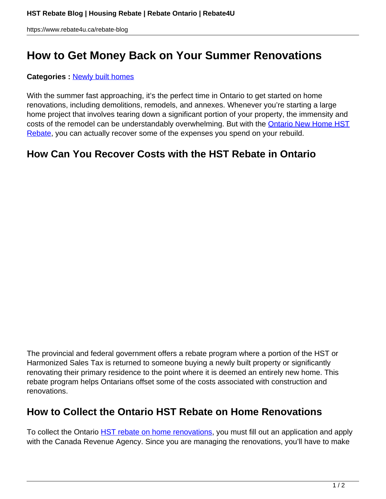# **How to Get Money Back on Your Summer Renovations**

#### **Categories :** [Newly built homes](https://www.rebate4u.ca/rebate-blog/category/newly-built-homes/)

With the summer fast approaching, it's the perfect time in Ontario to get started on home renovations, including demolitions, remodels, and annexes. Whenever you're starting a large home project that involves tearing down a significant portion of your property, the immensity and costs of the remodel can be understandably overwhelming. But with the **Ontario New Home HST** [Rebate](https://www.rebate4u.ca/service-housing-rebate), you can actually recover some of the expenses you spend on your rebuild.

### **How Can You Recover Costs with the HST Rebate in Ontario**

The provincial and federal government offers a rebate program where a portion of the HST or Harmonized Sales Tax is returned to someone buying a newly built property or significantly renovating their primary residence to the point where it is deemed an entirely new home. This rebate program helps Ontarians offset some of the costs associated with construction and renovations.

#### **How to Collect the Ontario HST Rebate on Home Renovations**

To collect the Ontario **HST rebate on home renovations**, you must fill out an application and apply with the Canada Revenue Agency. Since you are managing the renovations, you'll have to make